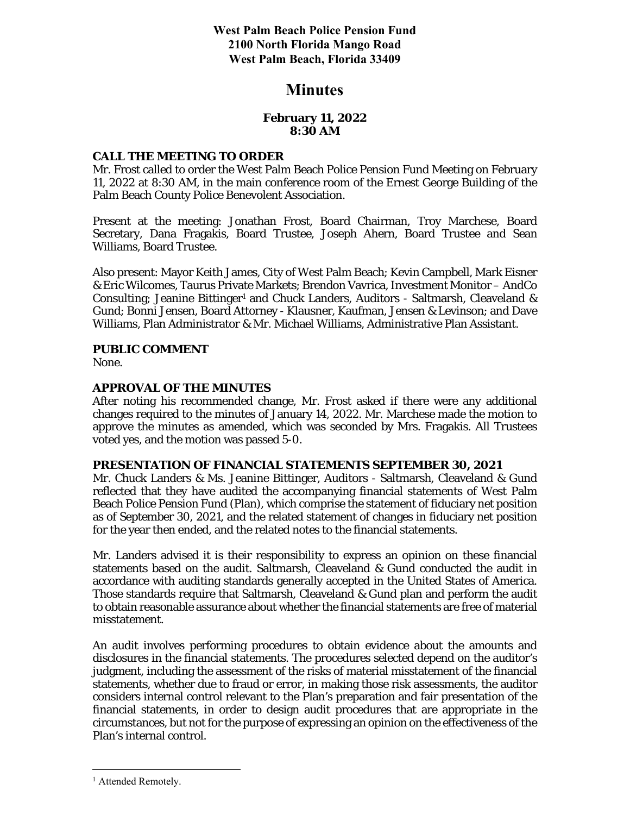**West Palm Beach Police Pension Fund 2100 North Florida Mango Road West Palm Beach, Florida 33409** 

## **Minutes**

### **February 11, 2022 8:30 AM**

### **CALL THE MEETING TO ORDER**

Mr. Frost called to order the West Palm Beach Police Pension Fund Meeting on February 11, 2022 at 8:30 AM, in the main conference room of the Ernest George Building of the Palm Beach County Police Benevolent Association.

Present at the meeting: Jonathan Frost, Board Chairman, Troy Marchese, Board Secretary, Dana Fragakis, Board Trustee, Joseph Ahern, Board Trustee and Sean Williams, Board Trustee.

Also present: Mayor Keith James, City of West Palm Beach; Kevin Campbell, Mark Eisner & Eric Wilcomes, Taurus Private Markets; Brendon Vavrica, Investment Monitor – AndCo Consulting; Jeanine Bittinger<sup>1</sup> and Chuck Landers, Auditors - Saltmarsh, Cleaveland & Gund; Bonni Jensen, Board Attorney - Klausner, Kaufman, Jensen & Levinson; and Dave Williams, Plan Administrator & Mr. Michael Williams, Administrative Plan Assistant.

## **PUBLIC COMMENT**

None.

### **APPROVAL OF THE MINUTES**

After noting his recommended change, Mr. Frost asked if there were any additional changes required to the minutes of January 14, 2022. Mr. Marchese made the motion to approve the minutes as amended, which was seconded by Mrs. Fragakis. All Trustees voted yes, and the motion was passed 5-0.

### **PRESENTATION OF FINANCIAL STATEMENTS SEPTEMBER 30, 2021**

Mr. Chuck Landers & Ms. Jeanine Bittinger, Auditors - Saltmarsh, Cleaveland & Gund reflected that they have audited the accompanying financial statements of West Palm Beach Police Pension Fund (Plan), which comprise the statement of fiduciary net position as of September 30, 2021, and the related statement of changes in fiduciary net position for the year then ended, and the related notes to the financial statements.

Mr. Landers advised it is their responsibility to express an opinion on these financial statements based on the audit. Saltmarsh, Cleaveland & Gund conducted the audit in accordance with auditing standards generally accepted in the United States of America. Those standards require that Saltmarsh, Cleaveland & Gund plan and perform the audit to obtain reasonable assurance about whether the financial statements are free of material misstatement.

An audit involves performing procedures to obtain evidence about the amounts and disclosures in the financial statements. The procedures selected depend on the auditor's judgment, including the assessment of the risks of material misstatement of the financial statements, whether due to fraud or error, in making those risk assessments, the auditor considers internal control relevant to the Plan's preparation and fair presentation of the financial statements, in order to design audit procedures that are appropriate in the circumstances, but not for the purpose of expressing an opinion on the effectiveness of the Plan's internal control.

<sup>&</sup>lt;sup>1</sup> Attended Remotely.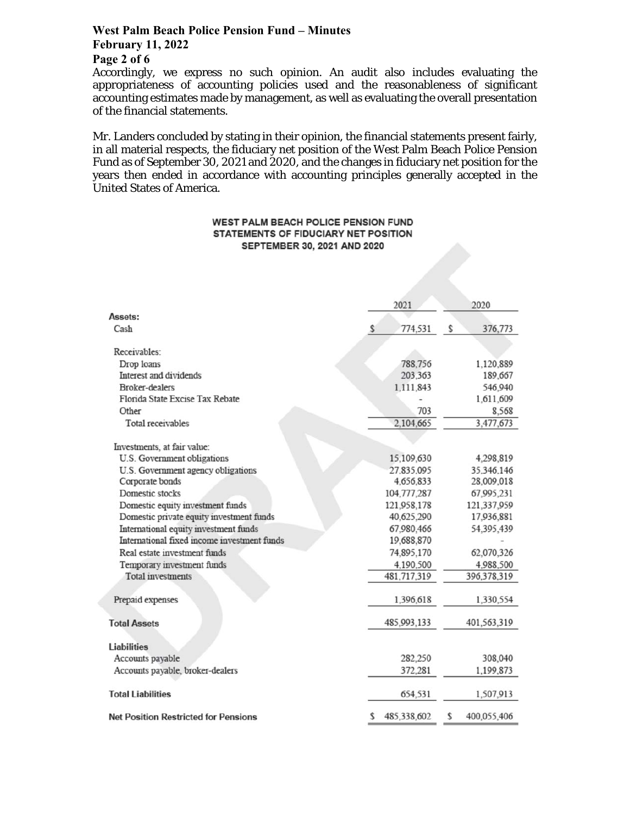## **West Palm Beach Police Pension Fund – Minutes February 11, 2022 Page 2 of 6**

Accordingly, we express no such opinion. An audit also includes evaluating the appropriateness of accounting policies used and the reasonableness of significant accounting estimates made by management, as well as evaluating the overall presentation of the financial statements.

Mr. Landers concluded by stating in their opinion, the financial statements present fairly, in all material respects, the fiduciary net position of the West Palm Beach Police Pension Fund as of September 30, 2021 and 2020, and the changes in fiduciary net position for the years then ended in accordance with accounting principles generally accepted in the United States of America.

#### WEST PALM BEACH POLICE PENSION FUND STATEMENTS OF FIDUCIARY NET POSITION SEPTEMBER 30, 2021 AND 2020

|                                             | 2021              | 2020              |
|---------------------------------------------|-------------------|-------------------|
| Assets:                                     |                   |                   |
| Cash                                        | \$<br>774,531     | s<br>376,773      |
| Receivables:                                |                   |                   |
| Drop loans                                  | 788,756           | 1,120,889         |
| Interest and dividends                      | 203,363           | 189,667           |
| <b>Broker-dealers</b>                       | 1,111,843         | 546,940           |
| Florida State Excise Tax Rebate             |                   | 1,611,609         |
| Other                                       | 703               | 8,568             |
| Total receivables                           | 2,104,665         | 3,477,673         |
| Investments, at fair value:                 |                   |                   |
| U.S. Government obligations                 | 15,109,630        | 4,298,819         |
| U.S. Government agency obligations          | 27.835.095        | 35.346.146        |
| Corporate bonds                             | 4,656,833         | 28,009,018        |
| Domestic stocks                             | 104,777,287       | 67,995,231        |
| Domestic equity investment funds            | 121,958,178       | 121,337,959       |
| Domestic private equity investment funds    | 40,625,290        | 17,936,881        |
| International equity investment funds       | 67,980,466        | 54,395,439        |
| International fixed income investment funds | 19,688,870        |                   |
| Real estate investment funds                | 74,895,170        | 62,070,326        |
| Temporary investment funds                  | 4,190,500         | 4,988,500         |
| <b>Total investments</b>                    | 481,717,319       | 396,378,319       |
| Prepaid expenses                            | 1,396,618         | 1,330,554         |
| <b>Total Assets</b>                         | 485,993,133       | 401,563,319       |
| <b>Liabilities</b>                          |                   |                   |
| Accounts payable                            | 282,250           | 308,040           |
| Accounts payable, broker-dealers            | 372,281           | 1,199,873         |
| <b>Total Liabilities</b>                    | 654,531           | 1,507,913         |
| <b>Net Position Restricted for Pensions</b> | \$<br>485,338,602 | \$<br>400,055,406 |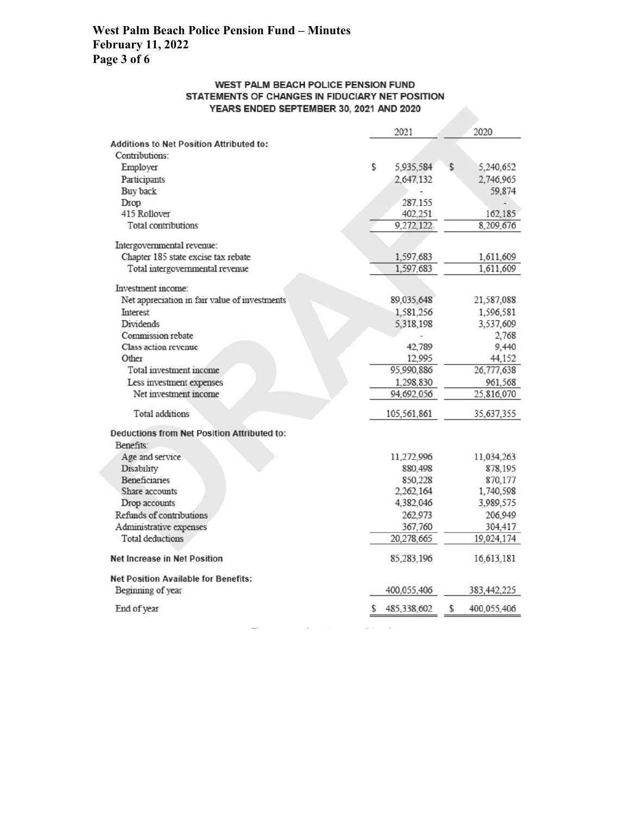## **West Palm Beach Police Pension Fund – Minutes February 11, 2022 Page 3 of 6**

#### WEST PALM BEACH POLICE PENSION FUND STATEMENTS OF CHANGES IN FIDUCIARY NET POSITION YEARS ENDED SEPTEMBER 30, 2021 AND 2020

|                                                    |    | 2021        | 2020              |
|----------------------------------------------------|----|-------------|-------------------|
| Additions to Net Position Attributed to:           |    |             |                   |
| Contributions:                                     |    |             |                   |
| Employer                                           | \$ | 5,935,584   | \$<br>5,240,652   |
| Participants                                       |    | 2,647,132   | 2,746,965         |
| Buy back                                           |    |             | 59,874            |
| Drop                                               |    | 287,155     |                   |
| 415 Rollover                                       |    | 402,251     | 162,185           |
| <b>Total contributions</b>                         |    | 9,272,122   | 8,209,676         |
| Intergovernmental revenue:                         |    |             |                   |
| Chapter 185 state excise tax rebate                |    | 1,597,683   | 1,611,609         |
| Total intergovernmental revenue                    |    | 1,597,683   | 1,611,609         |
| Investment income:                                 |    |             |                   |
| Net appreciation in fair value of investments      |    | 89,035,648  | 21,587,088        |
| Interest                                           |    | 1,581,256   | 1,596,581         |
| Dividends                                          |    | 5,318,198   | 3,537,609         |
| Commission rebate                                  |    |             | 2,768             |
| Class action revenue                               |    | 42.789      | 9,440             |
| Other                                              |    | 12,995      | 44,152            |
| Total investment income                            |    | 95,990,886  | 26,777,638        |
| Less investment expenses                           |    | 1,298,830   | 961,568           |
| Net investment income                              |    | 94,692,056  | 25,816,070        |
| <b>Total additions</b>                             |    | 105,561,861 | 35,637,355        |
| <b>Deductions from Net Position Attributed to:</b> |    |             |                   |
| Benefits:                                          |    |             |                   |
| Age and service                                    |    | 11,272,996  | 11,034,263        |
| Disability                                         |    | 880,498     | 878,195           |
| <b>Beneficiaries</b>                               |    | 850,228     | 870,177           |
| Share accounts                                     |    | 2,262,164   | 1,740,598         |
| Drop accounts                                      |    | 4,382,046   | 3,989,575         |
| Refunds of contributions                           |    | 262,973     | 206,949           |
| Administrative expenses                            |    | 367,760     | 304,417           |
| <b>Total deductions</b>                            |    | 20,278,665  | 19,024,174        |
| <b>Net Increase in Net Position</b>                |    | 85,283,196  | 16,613,181        |
| <b>Net Position Available for Benefits:</b>        |    |             |                   |
| Beginning of year                                  |    | 400,055,406 | 383,442,225       |
| End of year                                        | S  | 485,338,602 | \$<br>400,055,406 |
|                                                    |    |             |                   |

 $\sim$ 

**ACCIO**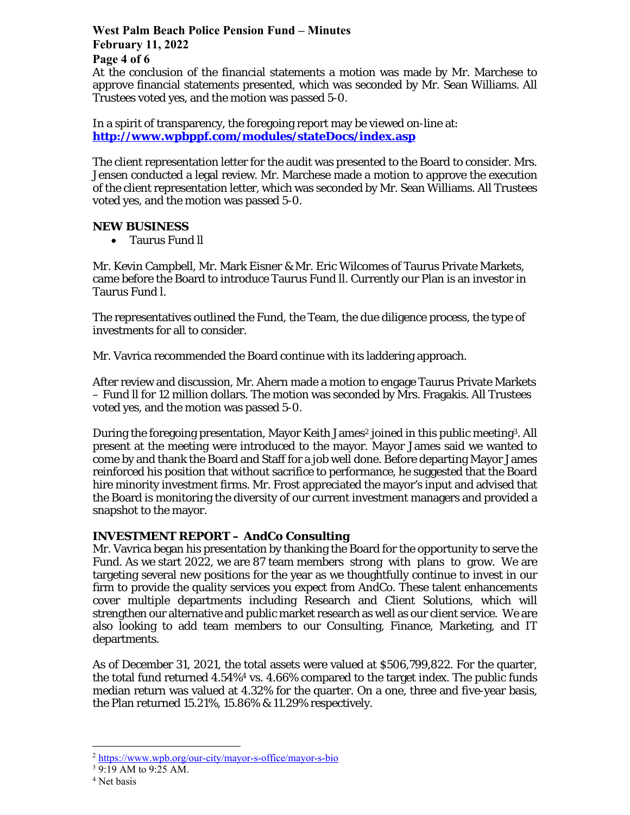# **West Palm Beach Police Pension Fund – Minutes February 11, 2022 Page 4 of 6**

At the conclusion of the financial statements a motion was made by Mr. Marchese to approve financial statements presented, which was seconded by Mr. Sean Williams. All Trustees voted yes, and the motion was passed 5-0.

In a spirit of transparency, the foregoing report may be viewed on-line at: **http://www.wpbppf.com/modules/stateDocs/index.asp**

The client representation letter for the audit was presented to the Board to consider. Mrs. Jensen conducted a legal review. Mr. Marchese made a motion to approve the execution of the client representation letter, which was seconded by Mr. Sean Williams. All Trustees voted yes, and the motion was passed 5-0.

### **NEW BUSINESS**

Taurus Fund ll

Mr. Kevin Campbell, Mr. Mark Eisner & Mr. Eric Wilcomes of Taurus Private Markets, came before the Board to introduce Taurus Fund ll. Currently our Plan is an investor in Taurus Fund l.

The representatives outlined the Fund, the Team, the due diligence process, the type of investments for all to consider.

Mr. Vavrica recommended the Board continue with its laddering approach.

After review and discussion, Mr. Ahern made a motion to engage Taurus Private Markets – Fund ll for 12 million dollars. The motion was seconded by Mrs. Fragakis. All Trustees voted yes, and the motion was passed 5-0.

During the foregoing presentation, Mayor Keith James<sup>2</sup> joined in this public meeting<sup>3</sup>. All present at the meeting were introduced to the mayor. Mayor James said we wanted to come by and thank the Board and Staff for a job well done. Before departing Mayor James reinforced his position that without sacrifice to performance, he suggested that the Board hire minority investment firms. Mr. Frost appreciated the mayor's input and advised that the Board is monitoring the diversity of our current investment managers and provided a snapshot to the mayor.

## **INVESTMENT REPORT – AndCo Consulting**

Mr. Vavrica began his presentation by thanking the Board for the opportunity to serve the Fund. As we start 2022, we are 87 team members strong with plans to grow. We are targeting several new positions for the year as we thoughtfully continue to invest in our firm to provide the quality services you expect from AndCo. These talent enhancements cover multiple departments including Research and Client Solutions, which will strengthen our alternative and public market research as well as our client service. We are also looking to add team members to our Consulting, Finance, Marketing, and IT departments.

As of December 31, 2021, the total assets were valued at \$506,799,822. For the quarter, the total fund returned 4.54%4 vs. 4.66% compared to the target index. The public funds median return was valued at 4.32% for the quarter. On a one, three and five-year basis, the Plan returned 15.21%, 15.86% & 11.29% respectively.

<sup>2</sup> https://www.wpb.org/our-city/mayor-s-office/mayor-s-bio

<sup>&</sup>lt;sup>3</sup> 9:19 AM to 9:25 AM.

<sup>4</sup> Net basis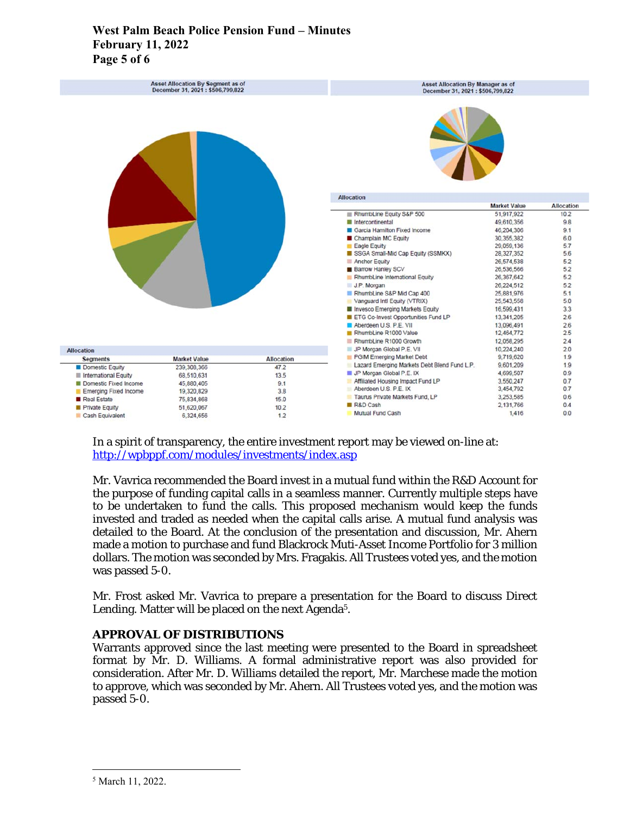## **West Palm Beach Police Pension Fund – Minutes February 11, 2022 Page 5 of 6**

| Asset Allocation By Segment as of<br>December 31, 2021 : \$506,799,822 |                          |                   | Asset Allocation By Manager as of<br>December 31, 2021 : \$506,799,822 |                     |            |  |
|------------------------------------------------------------------------|--------------------------|-------------------|------------------------------------------------------------------------|---------------------|------------|--|
|                                                                        |                          |                   |                                                                        |                     |            |  |
|                                                                        |                          |                   | <b>Allocation</b>                                                      |                     |            |  |
|                                                                        |                          |                   |                                                                        | <b>Market Value</b> | Allocation |  |
|                                                                        |                          |                   | RhumbLine Equity S&P 500                                               | 51,917,922          | 10.2       |  |
|                                                                        |                          |                   | Ill Intercontinental                                                   | 49,610,356          | 9.8        |  |
|                                                                        |                          |                   | Garcia Hamilton Fixed Income                                           | 46,204,306          | 9.1        |  |
|                                                                        |                          |                   | Champlain MC Equity                                                    | 30,355,382          | 6.0        |  |
|                                                                        |                          |                   | Eagle Equity                                                           | 29,059,136          | 5.7        |  |
|                                                                        |                          |                   | SSGA Small-Mid Cap Equity (SSMKX)                                      | 28,327,352          | 5.6        |  |
|                                                                        |                          |                   | Anchor Equity                                                          | 26,574,538          | 5.2        |  |
|                                                                        |                          |                   | <b>Barrow Hanley SCV</b>                                               | 26,536,566          | 5.2        |  |
|                                                                        |                          |                   | RhumbLine International Equity                                         | 26,367,642          | 5.2        |  |
|                                                                        |                          |                   | J.P. Morgan                                                            | 26,224,512          | 5.2        |  |
|                                                                        |                          |                   | RhumbLine S&P Mid Cap 400                                              | 25.881.976          | 5.1        |  |
|                                                                        |                          |                   | Vanguard Intl Equity (VTRIX)                                           | 25,543,558          | 5.0        |  |
|                                                                        |                          |                   | Invesco Emerging Markets Equity                                        | 16,599,431          | 3.3        |  |
|                                                                        |                          |                   | E ETG Co-Invest Opportunities Fund LP                                  | 13,341,205          | 2.6        |  |
|                                                                        |                          |                   | Aberdeen U.S. P.E. VII                                                 | 13,096,491          | 2.6        |  |
|                                                                        |                          |                   | RhumbLine R1000 Value                                                  | 12.464.772          | 2.5        |  |
|                                                                        |                          |                   | RhumbLine R1000 Growth                                                 | 12.058.295          | 24         |  |
| <b>Allocation</b>                                                      |                          |                   | JP Morgan Global P.E. VII                                              | 10.224.240          | 2.0        |  |
| <b>Segments</b>                                                        | <b>Market Value</b>      | <b>Allocation</b> | PGIM Emerging Market Debt                                              | 9,719,620           | 1.9        |  |
| Domestic Equity                                                        | 239, 308, 366            | 47.2              | Lazard Emerging Markets Debt Blend Fund L.P.                           | 9,601.209           | 1.9        |  |
|                                                                        | 68.510.631               | 13.5              | <b>F</b> JP Morgan Global P.E. IX                                      | 4,699,507           | 0.9        |  |
| International Equity                                                   |                          | 9.1               | Affiliated Housing Impact Fund LP                                      | 3,550,247           | 0.7        |  |
|                                                                        |                          |                   |                                                                        |                     |            |  |
| Domestic Fixed Income                                                  | 45,880,405<br>19,320,829 | 3.8               | Aberdeen U.S. P.E. IX                                                  | 3.454.792           | 0.7        |  |
| Emerging Fixed Income                                                  |                          |                   | Taurus Private Markets Fund, LP                                        | 3,253,585           | 0.6        |  |
| Real Estate<br>Private Equity                                          | 75,834,868<br>51,620,067 | 15.0<br>10.2      | <b>R&amp;D Cash</b>                                                    | 2,131,766           | 0.4        |  |

In a spirit of transparency, the entire investment report may be viewed on-line at: http://wpbppf.com/modules/investments/index.asp

Mr. Vavrica recommended the Board invest in a mutual fund within the R&D Account for the purpose of funding capital calls in a seamless manner. Currently multiple steps have to be undertaken to fund the calls. This proposed mechanism would keep the funds invested and traded as needed when the capital calls arise. A mutual fund analysis was detailed to the Board. At the conclusion of the presentation and discussion, Mr. Ahern made a motion to purchase and fund Blackrock Muti-Asset Income Portfolio for 3 million dollars. The motion was seconded by Mrs. Fragakis. All Trustees voted yes, and the motion was passed 5-0.

Mr. Frost asked Mr. Vavrica to prepare a presentation for the Board to discuss Direct Lending. Matter will be placed on the next Agenda<sup>5</sup>.

## **APPROVAL OF DISTRIBUTIONS**

Warrants approved since the last meeting were presented to the Board in spreadsheet format by Mr. D. Williams. A formal administrative report was also provided for consideration. After Mr. D. Williams detailed the report, Mr. Marchese made the motion to approve, which was seconded by Mr. Ahern. All Trustees voted yes, and the motion was passed 5-0.

<sup>5</sup> March 11, 2022.